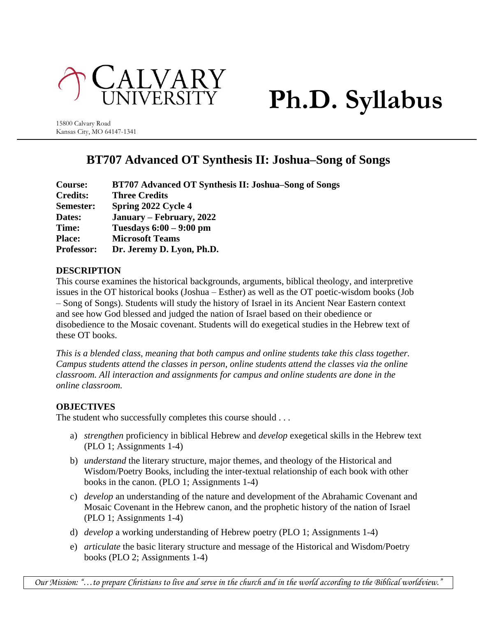

# **Ph.D. Syllabus**

15800 Calvary Road Kansas City, MO 64147-1341

# **BT707 Advanced OT Synthesis II: Joshua–Song of Songs**

| Course:           | BT707 Advanced OT Synthesis II: Joshua–Song of Songs |
|-------------------|------------------------------------------------------|
| <b>Credits:</b>   | <b>Three Credits</b>                                 |
| Semester:         | Spring 2022 Cycle 4                                  |
| Dates:            | January – February, 2022                             |
| Time:             | Tuesdays $6:00 - 9:00$ pm                            |
| <b>Place:</b>     | <b>Microsoft Teams</b>                               |
| <b>Professor:</b> | Dr. Jeremy D. Lyon, Ph.D.                            |

# **DESCRIPTION**

This course examines the historical backgrounds, arguments, biblical theology, and interpretive issues in the OT historical books (Joshua – Esther) as well as the OT poetic-wisdom books (Job – Song of Songs). Students will study the history of Israel in its Ancient Near Eastern context and see how God blessed and judged the nation of Israel based on their obedience or disobedience to the Mosaic covenant. Students will do exegetical studies in the Hebrew text of these OT books.

*This is a blended class, meaning that both campus and online students take this class together. Campus students attend the classes in person, online students attend the classes via the online classroom. All interaction and assignments for campus and online students are done in the online classroom.*

# **OBJECTIVES**

The student who successfully completes this course should . . .

- a) *strengthen* proficiency in biblical Hebrew and *develop* exegetical skills in the Hebrew text (PLO 1; Assignments 1-4)
- b) *understand* the literary structure, major themes, and theology of the Historical and Wisdom/Poetry Books, including the inter-textual relationship of each book with other books in the canon. (PLO 1; Assignments 1-4)
- c) *develop* an understanding of the nature and development of the Abrahamic Covenant and Mosaic Covenant in the Hebrew canon, and the prophetic history of the nation of Israel (PLO 1; Assignments 1-4)
- d) *develop* a working understanding of Hebrew poetry (PLO 1; Assignments 1-4)
- e) *articulate* the basic literary structure and message of the Historical and Wisdom/Poetry books (PLO 2; Assignments 1-4)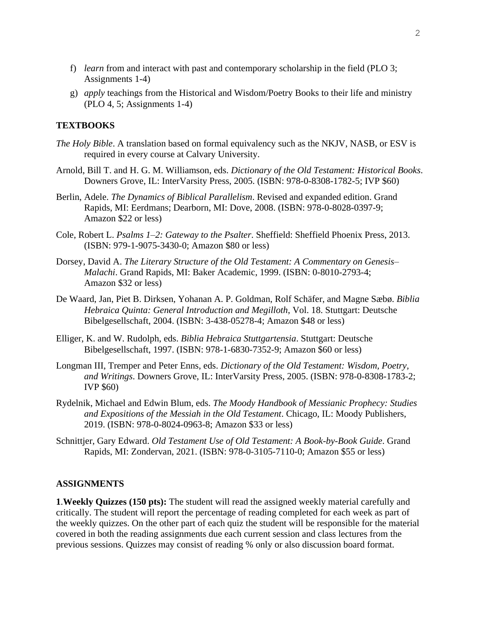- f) *learn* from and interact with past and contemporary scholarship in the field (PLO 3; Assignments 1-4)
- g) *apply* teachings from the Historical and Wisdom/Poetry Books to their life and ministry (PLO 4, 5; Assignments 1-4)

#### **TEXTBOOKS**

- *The Holy Bible*. A translation based on formal equivalency such as the NKJV, NASB, or ESV is required in every course at Calvary University.
- Arnold, Bill T. and H. G. M. Williamson, eds. *Dictionary of the Old Testament: Historical Books*. Downers Grove, IL: InterVarsity Press, 2005. (ISBN: 978-0-8308-1782-5; IVP \$60)
- Berlin, Adele. *The Dynamics of Biblical Parallelism*. Revised and expanded edition. Grand Rapids, MI: Eerdmans; Dearborn, MI: Dove, 2008. (ISBN: 978-0-8028-0397-9; Amazon \$22 or less)
- Cole, Robert L. *Psalms 1–2: Gateway to the Psalter*. Sheffield: Sheffield Phoenix Press, 2013. (ISBN: 979-1-9075-3430-0; Amazon \$80 or less)
- Dorsey, David A. *The Literary Structure of the Old Testament: A Commentary on Genesis– Malachi*. Grand Rapids, MI: Baker Academic, 1999. (ISBN: 0-8010-2793-4; Amazon \$32 or less)
- De Waard, Jan, Piet B. Dirksen, Yohanan A. P. Goldman, Rolf Schäfer, and Magne Sæbø. *Biblia Hebraica Quinta: General Introduction and Megilloth*, Vol. 18. Stuttgart: Deutsche Bibelgesellschaft, 2004. (ISBN: 3-438-05278-4; Amazon \$48 or less)
- Elliger, K. and W. Rudolph, eds. *Biblia Hebraica Stuttgartensia*. Stuttgart: Deutsche Bibelgesellschaft, 1997. (ISBN: 978-1-6830-7352-9; Amazon \$60 or less)
- Longman III, Tremper and Peter Enns, eds. *Dictionary of the Old Testament: Wisdom, Poetry, and Writings*. Downers Grove, IL: InterVarsity Press, 2005. (ISBN: 978-0-8308-1783-2; IVP \$60)
- Rydelnik, Michael and Edwin Blum, eds. *The Moody Handbook of Messianic Prophecy: Studies and Expositions of the Messiah in the Old Testament*. Chicago, IL: Moody Publishers, 2019. (ISBN: 978-0-8024-0963-8; Amazon \$33 or less)
- Schnittjer, Gary Edward. *Old Testament Use of Old Testament: A Book-by-Book Guide*. Grand Rapids, MI: Zondervan, 2021. (ISBN: 978-0-3105-7110-0; Amazon \$55 or less)

#### **ASSIGNMENTS**

**1**.**Weekly Quizzes (150 pts):** The student will read the assigned weekly material carefully and critically. The student will report the percentage of reading completed for each week as part of the weekly quizzes. On the other part of each quiz the student will be responsible for the material covered in both the reading assignments due each current session and class lectures from the previous sessions. Quizzes may consist of reading % only or also discussion board format.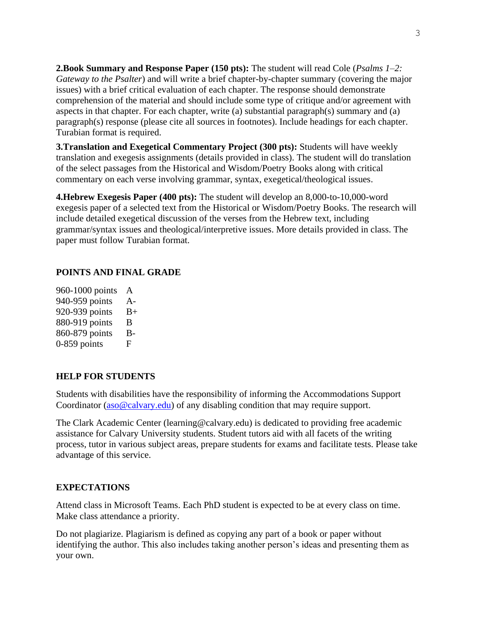**2.Book Summary and Response Paper (150 pts):** The student will read Cole (*Psalms 1–2: Gateway to the Psalter*) and will write a brief chapter-by-chapter summary (covering the major issues) with a brief critical evaluation of each chapter. The response should demonstrate comprehension of the material and should include some type of critique and/or agreement with aspects in that chapter. For each chapter, write (a) substantial paragraph(s) summary and (a) paragraph(s) response (please cite all sources in footnotes). Include headings for each chapter. Turabian format is required.

**3.Translation and Exegetical Commentary Project (300 pts):** Students will have weekly translation and exegesis assignments (details provided in class). The student will do translation of the select passages from the Historical and Wisdom/Poetry Books along with critical commentary on each verse involving grammar, syntax, exegetical/theological issues.

**4.Hebrew Exegesis Paper (400 pts):** The student will develop an 8,000-to-10,000-word exegesis paper of a selected text from the Historical or Wisdom/Poetry Books. The research will include detailed exegetical discussion of the verses from the Hebrew text, including grammar/syntax issues and theological/interpretive issues. More details provided in class. The paper must follow Turabian format.

# **POINTS AND FINAL GRADE**

| 960-1000 points | A     |
|-----------------|-------|
| 940-959 points  | $A -$ |
| 920-939 points  | $B+$  |
| 880-919 points  | B     |
| 860-879 points  | B-    |
| $0-859$ points  | F     |
|                 |       |

# **HELP FOR STUDENTS**

Students with disabilities have the responsibility of informing the Accommodations Support Coordinator [\(aso@calvary.edu\)](mailto:aso@calvary.edu) of any disabling condition that may require support.

The Clark Academic Center (learning@calvary.edu) is dedicated to providing free academic assistance for Calvary University students. Student tutors aid with all facets of the writing process, tutor in various subject areas, prepare students for exams and facilitate tests. Please take advantage of this service.

# **EXPECTATIONS**

Attend class in Microsoft Teams. Each PhD student is expected to be at every class on time. Make class attendance a priority.

Do not plagiarize. Plagiarism is defined as copying any part of a book or paper without identifying the author. This also includes taking another person's ideas and presenting them as your own.